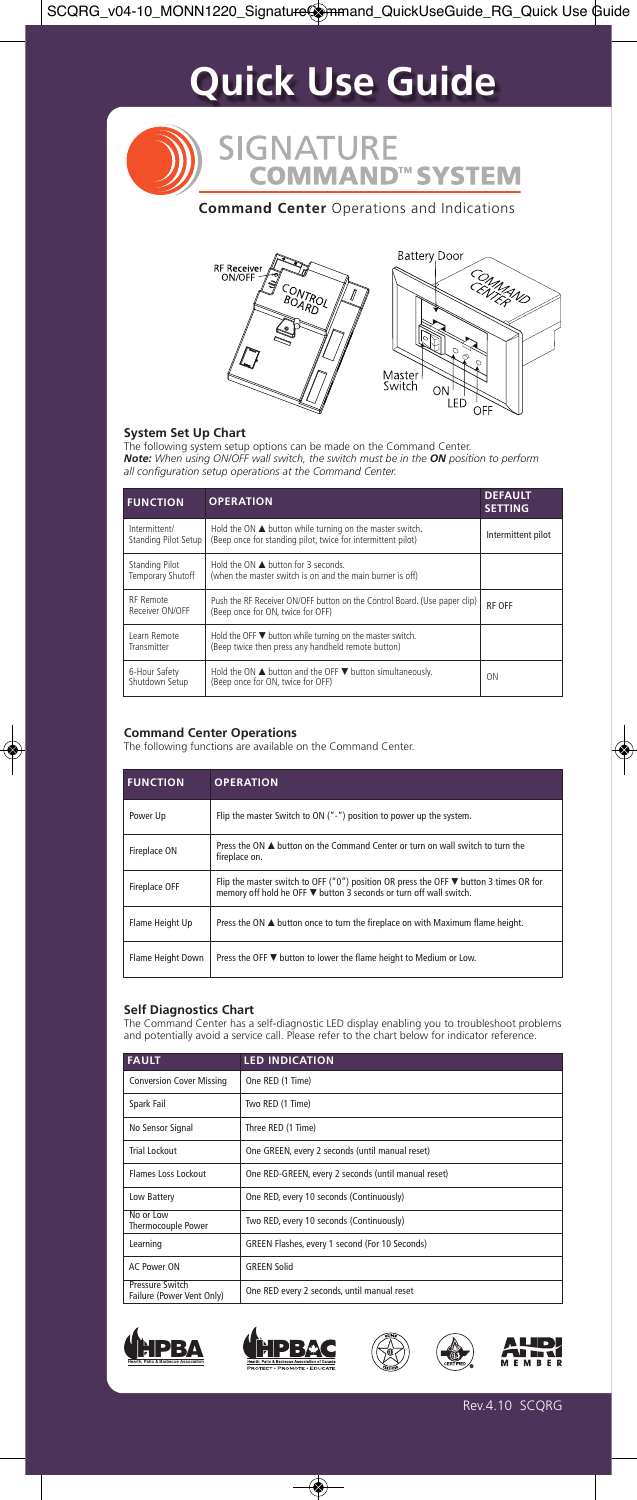# **Quick Use Guide**

**SIGNATURE COMMAND™ SYSTEM** 

**Command Center** Operations and Indications



### **System Set Up Chart**

The following system setup options can be made on the Command Center.<br>**Note:** When using ON/OFF wall switch, the switch must be in the **ON** position to perform<br>all configuration setup operations at the Command Center.

| <b>FUNCTION</b>                       | <b>OPERATION</b>                                                                                                                        | <b>DEFAULT</b><br><b>SETTING</b> |
|---------------------------------------|-----------------------------------------------------------------------------------------------------------------------------------------|----------------------------------|
| Intermittent/<br>Standing Pilot Setup | Hold the ON $\blacktriangle$ button while turning on the master switch.<br>(Beep once for standing pilot, twice for intermittent pilot) | Intermittent pilot               |
| Standing Pilot<br>Temporary Shutoff   | Hold the ON A button for 3 seconds.<br>(when the master switch is on and the main burner is off)                                        |                                  |
| RF Remote<br>Receiver ON/OFF          | Push the RF Receiver ON/OFF button on the Control Board. (Use paper clip)<br>(Beep once for ON, twice for OFF)                          | <b>RF OFF</b>                    |
| Learn Remote<br>Transmitter           | Hold the OFF $\nabla$ button while turning on the master switch.<br>(Beep twice then press any handheld remote button)                  |                                  |
| 6-Hour Safety<br>Shutdown Setup       | Hold the ON $\blacktriangle$ button and the OFF $\nabla$ button simultaneously.<br>(Beep once for ON, twice for OFF)                    | ON                               |

**Command Center Operations** The following functions are available on the Command Center.

| <b>FUNCTION</b>   | <b>OPERATION</b>                                                                                                                                                   |
|-------------------|--------------------------------------------------------------------------------------------------------------------------------------------------------------------|
| Power Up          | Flip the master Switch to ON ("-") position to power up the system.                                                                                                |
| Fireplace ON      | Press the $ON \triangle$ button on the Command Center or turn on wall switch to turn the<br>fireplace on.                                                          |
| Fireplace OFF     | Flip the master switch to OFF ("0") position OR press the OFF $\nabla$ button 3 times OR for<br>memory off hold he OFF ▼ button 3 seconds or turn off wall switch. |
| Flame Height Up   | Press the ON ▲ button once to turn the fireplace on with Maximum flame height.                                                                                     |
| Flame Height Down | Press the OFF $\Psi$ button to lower the flame height to Medium or Low.                                                                                            |

### **Self Diagnostics Chart**

The Command Center has a self-diagnostic LED display enabling you to troubleshoot problems and potentially avoid a service call. Please refer to the chart below for indicator reference.

| <b>FAULT</b>                                 | <b>LED INDICATION</b>                               |
|----------------------------------------------|-----------------------------------------------------|
| <b>Conversion Cover Missing</b>              | One RED (1 Time)                                    |
| Spark Fail                                   | Two RED (1 Time)                                    |
| No Sensor Signal                             | Three RED (1 Time)                                  |
| Trial Lockout                                | One GREEN, every 2 seconds (until manual reset)     |
| Flames Loss Lockout                          | One RED-GREEN, every 2 seconds (until manual reset) |
| Low Battery                                  | One RED, every 10 seconds (Continuously)            |
| No or Low<br>Thermocouple Power              | Two RED, every 10 seconds (Continuously)            |
| Learning                                     | GREEN Flashes, every 1 second (For 10 Seconds)      |
| AC Power ON                                  | <b>GREEN Solid</b>                                  |
| Pressure Switch<br>Failure (Power Vent Only) | One RED every 2 seconds, until manual reset         |





 $\overline{\circledast}$